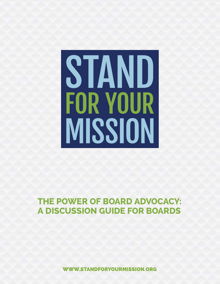# STAND **FOR YOUR** MISSION

#### **The Power of Board Advocacy: A Discussion Guide for Boards**

**WWW.STANDFORYOURMISSION.ORG**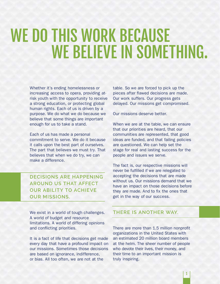### WE DO THIS WORK BECAUSE WE BELIEVE IN SOMETHING.

Whether it's ending homelessness or increasing access to opera, providing atrisk youth with the opportunity to receive a strong education, or protecting global human rights. Each of us is driven by a purpose. We do what we do because we believe that some things are important enough for us to take a stand.

Each of us has made a personal commitment to serve. We do it because it calls upon the best part of ourselves. The part that believes we must try. That believes that when we do try, we can make a difference.

**Decisions are happening around us that affect OUR ABILITY TO ACHIEVE our missions.**

We exist in a world of tough challenges. A world of budget and resource limitations. A world of differing opinions and conflicting priorities.

It is a fact of life that decisions get made every day that have a profound impact on our missions. Sometimes those decisions are based on ignorance, indifference, or bias. All too often, we are not at the

table. So we are forced to pick up the pieces after flawed decisions are made. Our work suffers. Our progress gets delayed. Our missions get compromised.

Our missions deserve better.

When we are at the table, we can ensure that our priorities are heard, that our communities are represented, that good ideas are funded, and that failing policies are questioned. We can help set the stage for real and lasting success for the people and issues we serve.

The fact is, our respective missions will never be fulfilled if we are relegated to accepting the decisions that are made without us. Our missions demand that we have an impact on those decisions before they are made. And to fix the ones that get in the way of our success.

#### **There is another way.**

There are more than 1.5 million nonprofit organizations in the United States with an estimated 20 million board members at the helm. The sheer number of people who devote their lives, their money, and their time to an important mission is truly inspiring.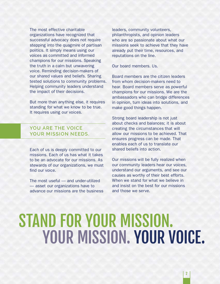The most effective charitable organizations have recognized that successful advocacy does not require stepping into the quagmire of partisan politics. It simply means using our voices as committed and informed champions for our missions. Speaking the truth in a calm but unwavering voice. Reminding decision-makers of our shared values and beliefs. Sharing tested solutions to community problems. Helping community leaders understand the impact of their decisions.

But more than anything else, it requires standing for what we know to be true. It requires using our voices.

#### **You are the voice your mission needs.**

Each of us is deeply committed to our missions. Each of us has what it takes to be an advocate for our missions. As stewards of our organizations, we must find our voice.

The most useful — and under-utilized — asset our organizations have to advance our missions are the business leaders, community volunteers, philanthropists, and opinion leaders who are so passionate about what our missions seek to achieve that they have already put their time, resources, and reputations on the line.

Our board members. Us.

Board members are the citizen leaders from whom decision-makers need to hear. Board members serve as powerful champions for our missions. We are the ambassadors who can bridge differences in opinion, turn ideas into solutions, and make good things happen.

Strong board leadership is not just about checks and balances; it is about creating the circumstances that will allow our missions to be achieved. That ensures progress can be made. That enables each of us to translate our shared beliefs into action.

Our missions will be fully realized when our community leaders hear our voices, understand our arguments, and see our causes as worthy of their best efforts. When we stand for what we believe in and insist on the best for our missions and those we serve.

### Stand for Your Mission. YOUR MISSION. YOUR VOICE.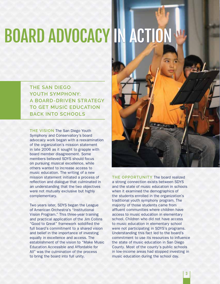# Board Advocacy in Action

**The San Diego**  YOUTH SYMPHONY: **A board-driven strategy to get music education back into schools**

**The Vision** The San Diego Youth Symphony and Conservatory's board advocacy work began with a reexamination of the organization's mission statement in late 2006 as it sought to grapple with board member disagreement. Some members believed SDYS should focus on pursuing musical excellence, while others wanted to increase access to music education. The writing of a new mission statement initiated a process of reflection and dialogue that culminated in an understanding that the two objectives were not mutually exclusive but highly complementary.

Two years later, SDYS began the League of American Orchestra's "Institutional Vision Program." This three-year training and practical application of the Jim Collins "Good to Great" framework solidified the full board's commitment to a shared vision and belief in the importance of investing equally in excellence and access. The establishment of the vision to "Make Music Education Accessible and Affordable for All" was the culmination of the process to bring the board into full unity.



**The Opportunity** The board realized a strong connection exists between SDYS and the state of music education in schools when it examined the demographics of the students enrolled in the organization's traditional youth symphony program. The majority of those students came from affluent communities where children have access to music education in elementary school. Children who did not have access to music education in elementary school were not participating in SDYS's programs. Understanding this fact led to the board's commitment to use its resources to influence the state of music education in San Diego County. Most of the county's public schools in low-income areas had stopped investing in music education during the school day.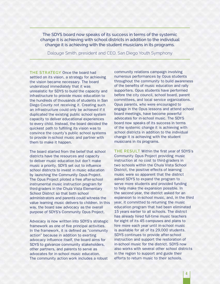The SDYS board now speaks of its success in terms of the systemic change it is achieving with school districts in addition to the individual change it is achieving with the student musicians in its programs.

Dalouge Smith, president and CEO, San Diego Youth Symphony

**The Strategy** Once the board had settled on its vision, a strategy for achieving the vision became necessary. The board understood immediately that it was unrealistic for SDYS to build the capacity and infrastructure to provide music education to the hundreds of thousands of students in San Diego County not receiving it. Creating such an infrastructure could only be achieved if it duplicated the existing public school system capacity to deliver educational experiences to every child. Instead, the board decided the quickest path to fulfilling its vision was to convince the county's public school systems to provide in-school music and partner with them to make it happen.

The board started from the belief that school districts have the resources and capacity to deliver music education but don't make music a priority. SDYS set out to influence school districts to invest in music education by launching the Community Opus Project. The Opus Project piloted a free after-school instrumental music instruction program for third-graders in the Chula Vista Elementary School District so that both school administrators and parents could witness the value learning music delivers to children. In this way, the board saw advocacy as the overall purpose of SDYS's Community Opus Project.

Advocacy is now written into SDYS's strategic framework as one of five principal activities. In the framework, it is defined as "community action" because in addition to exerting advocacy influence itself, the board aims for SDYS to galvanize community stakeholders, other partners, and parents to serve as advocates for in-school music education. The community action work includes a robust

community relations campaign involving numerous performances by Opus students throughout the community to build awareness of the benefits of music education and rally supporters. Opus students have performed before the city council, school board, parent committees, and local service organizations. Opus parents, who were encouraged to engage in the Opus lessons and attend school board meetings, have become powerful advocates for in-school music. The SDYS board now speaks of its success in terms of the systemic change it is achieving with school districts in addition to the individual change it is achieving with the student musicians in its programs.

**The Result** Within the first year of SDYS's Community Opus Project providing music instruction at no cost to third-graders in two schools within the Chula Vista School District, the positive effects of learning music were so apparent that the district asked SDYS to expand the program to serve more students and provided funding to help make the expansion possible. In the second year, the district asked for an expansion to in-school music, and, in the third year, it committed to returning the music education program that had been eliminated 15 years earlier to all schools. The district has already hired full-time music teachers for eight of its 45 campuses and plans to hire more each year until in-school music is available for all of its 29,000 students. SDYS continues to provide after-school instruction and support the restoration of in-school music for the district. SDYS now also works with several other school districts in the region to support and guide their efforts to return music to their schools.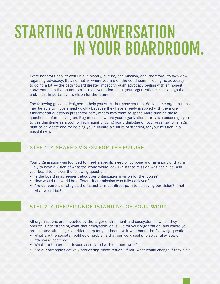### STarting a conversation in your boardroom.

Every nonprofit has its own unique history, culture, and mission, and, therefore, its own view regarding advocacy. But, no matter where you are on the continuum — doing no advocacy to doing a lot — the path toward greater impact through advocacy begins with an honest conversation in the boardroom — a conversation about your organization's mission, goals, and, most importantly, its vision for the future.

The following guide is designed to help you start that conversation. While some organizations may be able to move ahead quickly because they have already grappled with the more fundamental questions presented here, others may want to spend more time on those questions before moving on. Regardless of where your organization starts, we encourage you to use this guide as a tool for facilitating ongoing board dialogue on your organization's legal right to advocate and for helping you cultivate a culture of standing for your mission in all possible ways.

#### **Step** 1**: A shared vision for the future**

Your organization was founded to meet a specific need or purpose and, as a part of that, is likely to have a vision of what the world would look like if that mission was achieved. Ask your board to answer the following questions:

- Is the board in agreement about our organization's vision for the future?
- How would the world be different if our mission was fully achieved?
- Are our current strategies the fastest or most direct path to achieving our vision? If not, what would be?

#### **Step** 2**: A deeper understanding of your work**

All organizations are impacted by the larger environment and ecosystem in which they operate. Understanding what that ecosystem looks like for your organization, and where you are situated within it, is a critical step for your board. Ask your board the following questions:

- • What are the societal realities or problems that our work seeks to solve, alleviate, or otherwise address?
- What are the broader issues associated with our core work?
- Are our strategies actively addressing those issues? If not, what would change if they did?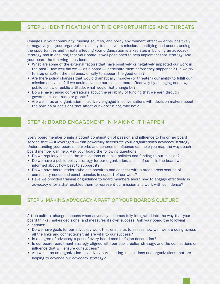#### **Step** 3**: Identification of the opportunities and threats**

Changes in your community, funding sources, and policy environment affect — either positively or negatively — your organization's ability to achieve its mission. Identifying and understanding the opportunities and threats affecting your organization is a key step in building an advocacy strategy and in ensuring that your board is well-positioned to help implement that strategy. Ask your board the following questions:

- What are some of the external factors that have positively or negatively impacted our work in the past? How well did we — as a board — anticipate them before they happened? Did we try to stop or soften the bad ones, or rally to support the good ones?
- Are there policy changes that would dramatically improve (or threaten) our ability to fulfill our mission and vision? If we could advance our mission more effectively by changing one law, public policy, or public attitude, what would that change be?
- Do we have candid conversations about the reliability of funding that we earn through government contracts or grants?
- Are we as an organization actively engaged in conversations with decision-makers about the policies or decisions that affect our work? If not, why not?

#### **Step** 4**: Board engagement in making it happen**

Every board member brings a potent combination of passion and influence to his or her board service that — if leveraged — can powerfully accelerate your organization's advocacy strategy. Understanding your board's networks and spheres of influence can help you map the ways each board member can help. Ask your board the following questions:

- Do we regularly discuss the implications of public policies and funding to our mission?
- $\bullet$  Do we have a public policy strategy for our organization, and  $\overline{\phantom{a}}$  if so  $\overline{\phantom{a}}$  is the board wellinformed about how best to support it?
- Do we have board leaders who can speak to and connect with a broad cross-section of community needs and constituencies in support of our work?
- Have we provided training or guidance to board members about how to engage effectively in advocacy efforts that enables them to represent our mission and work with confidence?

#### **Step** 5**: Making advocacy a part of your board's culture**

A true cultural change happens when advocacy becomes fully integrated into the way that your board thinks, makes decisions, and measures its own success. Ask your board the following questions:

- Do we have goals for our advocacy work that enable us to assess how well we are doing across all the links and connections that are vital to our success?
- Is a degree of advocacy a part of every board member's job description?
- Is our board recruitment strategy aligned with our public policy strategy, and the connections or influence that will ensure our success?
- Are we as an organization actively participating in coalitions and organizations that are helping to advance our advocacy strategy?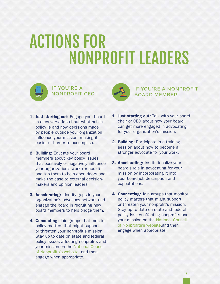### Actions for Nonprofit Leaders



 **If you're a nonprofit CEO…**



**If you're a nonprofit board member…**

- 1. Just starting out: Engage your board in a conversation about what public policy is and how decisions made by people outside your organization influence your mission, making it easier or harder to accomplish.
- 2. Building: Educate your board members about key policy issues that positively or negatively influence your organization's work (or could), and tap them to help open doors and make the case to external decisionmakers and opinion leaders.
- **3. Accelerating: Identify gaps in your** organization's advocacy network and engage the board in recruiting new board members to help bridge them.
- 4. **Connecting:** Join groups that monitor policy matters that might support or threaten your nonprofit's mission. Stay up to date on state and federal policy issues affecting nonprofits and your mission on the [National Council](http://www.councilofnonprofits.org/policy)  [of Nonprofits's website](http://www.councilofnonprofits.org/policy), and then engage when appropriate.
- 1. Just starting out: Talk with your board chair or CEO about how your board can get more engaged in advocating for your organization's mission.
- 2. Building: Participate in a training session about how to become a stronger advocate for your work.
- **3. Accelerating: Institutionalize your** board's role in advocating for your mission by incorporating it into your board job description and expectations.
- 4. **Connecting:** Join groups that monitor policy matters that might support or threaten your nonprofit's mission. Stay up to date on state and federal policy issues affecting nonprofits and your mission on the [National Council](http://www.councilofnonprofits.org/policy)  [of Nonprofits's website,](http://www.councilofnonprofits.org/policy)and then engage when appropriate.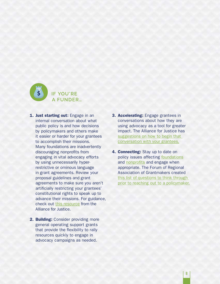

- 1. Just starting out: Engage in an internal conversation about what public policy is and how decisions by policymakers and others make it easier or harder for your grantees to accomplish their missions. Many foundations are inadvertently discouraging nonprofits from engaging in vital advocacy efforts by using unnecessarily hyperrestrictive or ominous language in grant agreements. Review your proposal guidelines and grant agreements to make sure you aren't artificially restricting your grantees' constitutional rights to speak up to advance their missions. For guidance, check out [this resource](http://bolderadvocacy.org/wp-content/uploads/2012/02/Investing_in_Change.pdf) from the Alliance for Justice.
- 2. Building: Consider providing more general operating support grants that provide the flexibility to rally resources quickly to engage in advocacy campaigns as needed.
- 3. Accelerating: Engage grantees in conversations about how they are using advocacy as a tool for greater impact. The Alliance for Justice has [suggestions on how to begin that](http://bolderadvocacy.org/blog/advocacy-capacity-and-effectiveness-what-funders-and-grantees-need-to-know)  [conversation with your grantees.](http://bolderadvocacy.org/blog/advocacy-capacity-and-effectiveness-what-funders-and-grantees-need-to-know)
- 4. **Connecting:** Stay up to date on policy issues affecting [foundations](http://www.cof.org/public-policy) and [nonprofits](http://www.councilofnonprofits.org/policy) and engage when appropriate. The Forum of Regional Association of Grantmakers created [this list of questions to think through](https://www.givingforum.org/sites/default/files/resources/Policyworks Outreach Checklist.pdf)  [prior to reaching out to a policymaker.](https://www.givingforum.org/sites/default/files/resources/Policyworks Outreach Checklist.pdf)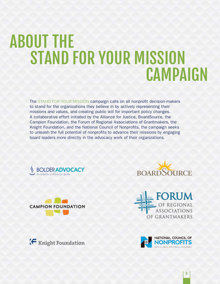### About the Stand for Your Mission **CAMPAIGN**

The STAND FOR YOUR MISSION campaign calls on all nonprofit decision-makers to stand for the organizations they believe in by actively representing their missions and values, and creating public will for important policy changes. A collaborative effort initiated by the Alliance for Justice, BoardSource, the Campion Foundation, the Forum of Regional Associations of Grantmakers, the Knight Foundation, and the National Council of Nonprofits, the campaign seeks to unleash the full potential of nonprofits to advance their missions by engaging board leaders more directly in the advocacy work of their organizations.











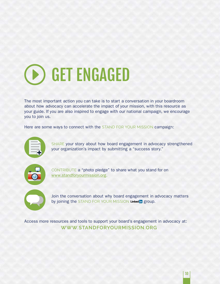## **(B) GET ENGAGED**

The most important action you can take is to start a conversation in your boardroom about how advocacy can accelerate the impact of your mission, with this resource as your guide. If you are also inspired to engage with our national campaign, we encourage you to join us.

Here are some ways to connect with the STAND FOR YOUR MISSION campaign:



SHARE your story about how board engagement in advocacy strengthened your organization's impact by submitting a "success story."



CONTRIBUTE a "photo pledge" to share what you stand for on [www.standforyourmission.org.](http://www.standforyourmission.org)



Join the conversation about why board engagement in advocacy matters by joining the STAND FOR YOUR MISSION Linked in group.

Access more resources and tools to support your board's engagement in advocacy at: **[www.standforyourmission.org](http://www.standforyourmission.org)**